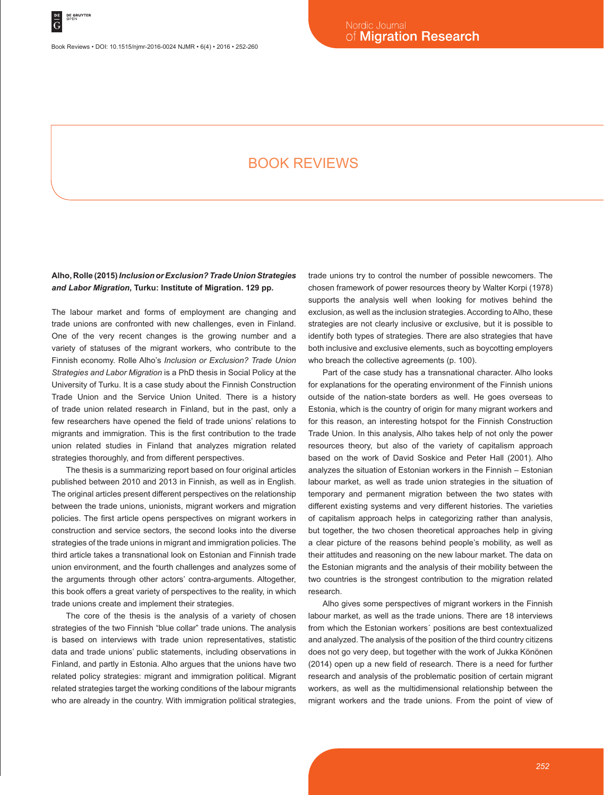Book Reviews • DOI: 10.1515/njmr-2016-0024 NJMR • 6(4) • 2016 • 252-260

# BOOK REVIEWS

#### **Alho, Rolle (2015)** *Inclusion or Exclusion? Trade Union Strategies and Labor Migration***, Turku: Institute of Migration. 129 pp.**

The labour market and forms of employment are changing and trade unions are confronted with new challenges, even in Finland. One of the very recent changes is the growing number and a variety of statuses of the migrant workers, who contribute to the Finnish economy. Rolle Alho's *Inclusion or Exclusion? Trade Union Strategies and Labor Migration* is a PhD thesis in Social Policy at the University of Turku. It is a case study about the Finnish Construction Trade Union and the Service Union United. There is a history of trade union related research in Finland, but in the past, only a few researchers have opened the field of trade unions' relations to migrants and immigration. This is the first contribution to the trade union related studies in Finland that analyzes migration related strategies thoroughly, and from different perspectives.

The thesis is a summarizing report based on four original articles published between 2010 and 2013 in Finnish, as well as in English. The original articles present different perspectives on the relationship between the trade unions, unionists, migrant workers and migration policies. The first article opens perspectives on migrant workers in construction and service sectors, the second looks into the diverse strategies of the trade unions in migrant and immigration policies. The third article takes a transnational look on Estonian and Finnish trade union environment, and the fourth challenges and analyzes some of the arguments through other actors' contra-arguments. Altogether, this book offers a great variety of perspectives to the reality, in which trade unions create and implement their strategies.

The core of the thesis is the analysis of a variety of chosen strategies of the two Finnish "blue collar" trade unions. The analysis is based on interviews with trade union representatives, statistic data and trade unions' public statements, including observations in Finland, and partly in Estonia. Alho argues that the unions have two related policy strategies: migrant and immigration political. Migrant related strategies target the working conditions of the labour migrants who are already in the country. With immigration political strategies,

trade unions try to control the number of possible newcomers. The chosen framework of power resources theory by Walter Korpi (1978) supports the analysis well when looking for motives behind the exclusion, as well as the inclusion strategies. According to Alho, these strategies are not clearly inclusive or exclusive, but it is possible to identify both types of strategies. There are also strategies that have both inclusive and exclusive elements, such as boycotting employers who breach the collective agreements (p. 100).

Part of the case study has a transnational character. Alho looks for explanations for the operating environment of the Finnish unions outside of the nation-state borders as well. He goes overseas to Estonia, which is the country of origin for many migrant workers and for this reason, an interesting hotspot for the Finnish Construction Trade Union. In this analysis, Alho takes help of not only the power resources theory, but also of the variety of capitalism approach based on the work of David Soskice and Peter Hall (2001). Alho analyzes the situation of Estonian workers in the Finnish – Estonian labour market, as well as trade union strategies in the situation of temporary and permanent migration between the two states with different existing systems and very different histories. The varieties of capitalism approach helps in categorizing rather than analysis, but together, the two chosen theoretical approaches help in giving a clear picture of the reasons behind people's mobility, as well as their attitudes and reasoning on the new labour market. The data on the Estonian migrants and the analysis of their mobility between the two countries is the strongest contribution to the migration related research.

Alho gives some perspectives of migrant workers in the Finnish labour market, as well as the trade unions. There are 18 interviews from which the Estonian workers´ positions are best contextualized and analyzed. The analysis of the position of the third country citizens does not go very deep, but together with the work of Jukka Könönen (2014) open up a new field of research. There is a need for further research and analysis of the problematic position of certain migrant workers, as well as the multidimensional relationship between the migrant workers and the trade unions. From the point of view of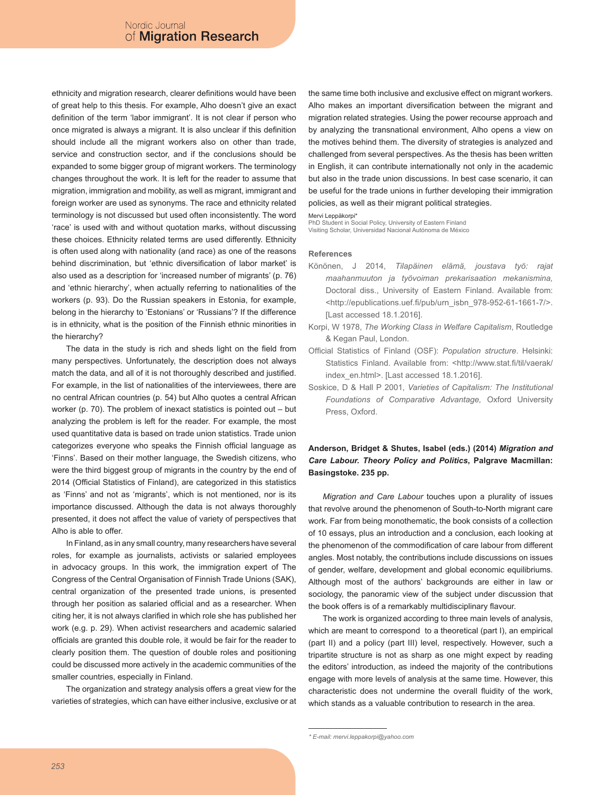ethnicity and migration research, clearer definitions would have been of great help to this thesis. For example, Alho doesn't give an exact definition of the term 'labor immigrant'. It is not clear if person who once migrated is always a migrant. It is also unclear if this definition should include all the migrant workers also on other than trade, service and construction sector, and if the conclusions should be expanded to some bigger group of migrant workers. The terminology changes throughout the work. It is left for the reader to assume that migration, immigration and mobility, as well as migrant, immigrant and foreign worker are used as synonyms. The race and ethnicity related terminology is not discussed but used often inconsistently. The word 'race' is used with and without quotation marks, without discussing these choices. Ethnicity related terms are used differently. Ethnicity is often used along with nationality (and race) as one of the reasons behind discrimination, but 'ethnic diversification of labor market' is also used as a description for 'increased number of migrants' (p. 76) and 'ethnic hierarchy', when actually referring to nationalities of the workers (p. 93). Do the Russian speakers in Estonia, for example, belong in the hierarchy to 'Estonians' or 'Russians'? If the difference is in ethnicity, what is the position of the Finnish ethnic minorities in the hierarchy?

The data in the study is rich and sheds light on the field from many perspectives. Unfortunately, the description does not always match the data, and all of it is not thoroughly described and justified. For example, in the list of nationalities of the interviewees, there are no central African countries (p. 54) but Alho quotes a central African worker (p. 70). The problem of inexact statistics is pointed out – but analyzing the problem is left for the reader. For example, the most used quantitative data is based on trade union statistics. Trade union categorizes everyone who speaks the Finnish official language as 'Finns'. Based on their mother language, the Swedish citizens, who were the third biggest group of migrants in the country by the end of 2014 (Official Statistics of Finland), are categorized in this statistics as 'Finns' and not as 'migrants', which is not mentioned, nor is its importance discussed. Although the data is not always thoroughly presented, it does not affect the value of variety of perspectives that Alho is able to offer.

In Finland, as in any small country, many researchers have several roles, for example as journalists, activists or salaried employees in advocacy groups. In this work, the immigration expert of The Congress of the Central Organisation of Finnish Trade Unions (SAK), central organization of the presented trade unions, is presented through her position as salaried official and as a researcher. When citing her, it is not always clarified in which role she has published her work (e.g. p. 29). When activist researchers and academic salaried officials are granted this double role, it would be fair for the reader to clearly position them. The question of double roles and positioning could be discussed more actively in the academic communities of the smaller countries, especially in Finland.

The organization and strategy analysis offers a great view for the varieties of strategies, which can have either inclusive, exclusive or at the same time both inclusive and exclusive effect on migrant workers. Alho makes an important diversification between the migrant and migration related strategies. Using the power recourse approach and by analyzing the transnational environment, Alho opens a view on the motives behind them. The diversity of strategies is analyzed and challenged from several perspectives. As the thesis has been written in English, it can contribute internationally not only in the academic but also in the trade union discussions. In best case scenario, it can be useful for the trade unions in further developing their immigration policies, as well as their migrant political strategies.

#### Mervi Leppäkorpi\*

PhD Student in Social Policy, University of Eastern Finland Visiting Scholar, Universidad Nacional Autónoma de México

#### **References**

- Könönen, J 2014, *Tilapäinen elämä, joustava työ: rajat maahanmuuton ja työvoiman prekarisaation mekanismina,* Doctoral diss., University of Eastern Finland. Available from: <http://epublications.uef.fi/pub/urn\_isbn\_978-952-61-1661-7/>. [Last accessed 18.1.2016].
- Korpi, W 1978, *The Working Class in Welfare Capitalism*, Routledge & Kegan Paul, London.
- Official Statistics of Finland (OSF): *Population structure*. Helsinki: Statistics Finland. Available from: <http://www.stat.fi/til/vaerak/ index\_en.html>. [Last accessed 18.1.2016].
- Soskice, D & Hall P 2001, *Varieties of Capitalism: The Institutional Foundations of Comparative Advantage,* Oxford University Press, Oxford.

# **Anderson, Bridget & Shutes, Isabel (eds.) (2014)** *Migration and Care Labour. Theory Policy and Politics***, Palgrave Macmillan: Basingstoke. 235 pp.**

*Migration and Care Labour* touches upon a plurality of issues that revolve around the phenomenon of South-to-North migrant care work. Far from being monothematic, the book consists of a collection of 10 essays, plus an introduction and a conclusion, each looking at the phenomenon of the commodification of care labour from different angles. Most notably, the contributions include discussions on issues of gender, welfare, development and global economic equilibriums. Although most of the authors' backgrounds are either in law or sociology, the panoramic view of the subject under discussion that the book offers is of a remarkably multidisciplinary flavour.

The work is organized according to three main levels of analysis, which are meant to correspond to a theoretical (part I), an empirical (part II) and a policy (part III) level, respectively. However, such a tripartite structure is not as sharp as one might expect by reading the editors' introduction, as indeed the majority of the contributions engage with more levels of analysis at the same time. However, this characteristic does not undermine the overall fluidity of the work, which stands as a valuable contribution to research in the area.

*<sup>\*</sup> E-mail: mervi.leppakorpi@yahoo.com*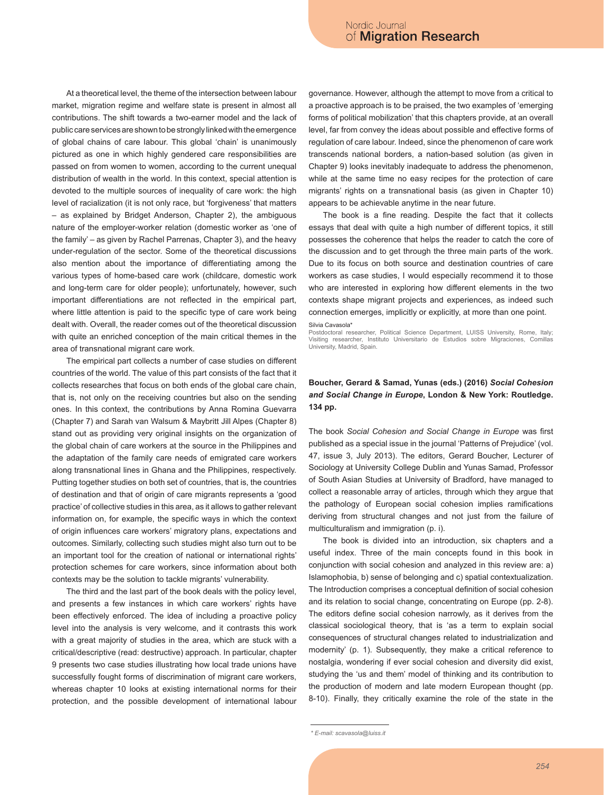At a theoretical level, the theme of the intersection between labour market, migration regime and welfare state is present in almost all contributions. The shift towards a two-earner model and the lack of public care services are shown to be strongly linked with the emergence of global chains of care labour. This global 'chain' is unanimously pictured as one in which highly gendered care responsibilities are passed on from women to women, according to the current unequal distribution of wealth in the world. In this context, special attention is devoted to the multiple sources of inequality of care work: the high level of racialization (it is not only race, but 'forgiveness' that matters – as explained by Bridget Anderson, Chapter 2), the ambiguous nature of the employer-worker relation (domestic worker as 'one of the family' – as given by Rachel Parrenas, Chapter 3), and the heavy under-regulation of the sector. Some of the theoretical discussions also mention about the importance of differentiating among the various types of home-based care work (childcare, domestic work and long-term care for older people); unfortunately, however, such important differentiations are not reflected in the empirical part, where little attention is paid to the specific type of care work being dealt with. Overall, the reader comes out of the theoretical discussion with quite an enriched conception of the main critical themes in the area of transnational migrant care work.

The empirical part collects a number of case studies on different countries of the world. The value of this part consists of the fact that it collects researches that focus on both ends of the global care chain, that is, not only on the receiving countries but also on the sending ones. In this context, the contributions by Anna Romina Guevarra (Chapter 7) and Sarah van Walsum & Maybritt Jill Alpes (Chapter 8) stand out as providing very original insights on the organization of the global chain of care workers at the source in the Philippines and the adaptation of the family care needs of emigrated care workers along transnational lines in Ghana and the Philippines, respectively. Putting together studies on both set of countries, that is, the countries of destination and that of origin of care migrants represents a 'good practice' of collective studies in this area, as it allows to gather relevant information on, for example, the specific ways in which the context of origin influences care workers' migratory plans, expectations and outcomes. Similarly, collecting such studies might also turn out to be an important tool for the creation of national or international rights' protection schemes for care workers, since information about both contexts may be the solution to tackle migrants' vulnerability.

The third and the last part of the book deals with the policy level, and presents a few instances in which care workers' rights have been effectively enforced. The idea of including a proactive policy level into the analysis is very welcome, and it contrasts this work with a great majority of studies in the area, which are stuck with a critical/descriptive (read: destructive) approach. In particular, chapter 9 presents two case studies illustrating how local trade unions have successfully fought forms of discrimination of migrant care workers, whereas chapter 10 looks at existing international norms for their protection, and the possible development of international labour governance. However, although the attempt to move from a critical to a proactive approach is to be praised, the two examples of 'emerging forms of political mobilization' that this chapters provide, at an overall level, far from convey the ideas about possible and effective forms of regulation of care labour. Indeed, since the phenomenon of care work transcends national borders, a nation-based solution (as given in Chapter 9) looks inevitably inadequate to address the phenomenon, while at the same time no easy recipes for the protection of care migrants' rights on a transnational basis (as given in Chapter 10) appears to be achievable anytime in the near future.

The book is a fine reading. Despite the fact that it collects essays that deal with quite a high number of different topics, it still possesses the coherence that helps the reader to catch the core of the discussion and to get through the three main parts of the work. Due to its focus on both source and destination countries of care workers as case studies, I would especially recommend it to those who are interested in exploring how different elements in the two contexts shape migrant projects and experiences, as indeed such connection emerges, implicitly or explicitly, at more than one point.

Silvia Cavasola\*

Postdoctoral researcher, Political Science Department, LUISS University, Rome, Italy; Visiting researcher, Instituto Universitario de Estudios sobre Migraciones, Comillas University, Madrid, Spain.

#### **Boucher, Gerard & Samad, Yunas (eds.) (2016)** *Social Cohesion and Social Change in Europe***, London & New York: Routledge. 134 pp.**

The book *Social Cohesion and Social Change in Europe* was first published as a special issue in the journal 'Patterns of Prejudice' (vol. 47, issue 3, July 2013). The editors, Gerard Boucher, Lecturer of Sociology at University College Dublin and Yunas Samad, Professor of South Asian Studies at University of Bradford, have managed to collect a reasonable array of articles, through which they argue that the pathology of European social cohesion implies ramifications deriving from structural changes and not just from the failure of multiculturalism and immigration (p. i).

The book is divided into an introduction, six chapters and a useful index. Three of the main concepts found in this book in conjunction with social cohesion and analyzed in this review are: a) Islamophobia, b) sense of belonging and c) spatial contextualization. The Introduction comprises a conceptual definition of social cohesion and its relation to social change, concentrating on Europe (pp. 2-8). The editors define social cohesion narrowly, as it derives from the classical sociological theory, that is 'as a term to explain social consequences of structural changes related to industrialization and modernity' (p. 1). Subsequently, they make a critical reference to nostalgia, wondering if ever social cohesion and diversity did exist, studying the 'us and them' model of thinking and its contribution to the production of modern and late modern European thought (pp. 8-10). Finally, they critically examine the role of the state in the

*<sup>\*</sup> E-mail: scavasola@luiss.it*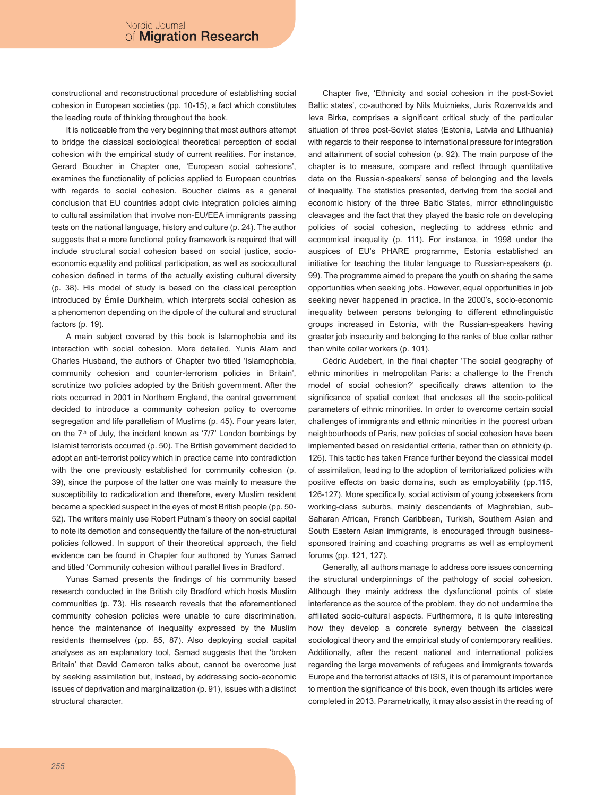constructional and reconstructional procedure of establishing social cohesion in European societies (pp. 10-15), a fact which constitutes the leading route of thinking throughout the book.

It is noticeable from the very beginning that most authors attempt to bridge the classical sociological theoretical perception of social cohesion with the empirical study of current realities. For instance, Gerard Boucher in Chapter one, 'European social cohesions', examines the functionality of policies applied to European countries with regards to social cohesion. Boucher claims as a general conclusion that EU countries adopt civic integration policies aiming to cultural assimilation that involve non-EU/EEA immigrants passing tests on the national language, history and culture (p. 24). The author suggests that a more functional policy framework is required that will include structural social cohesion based on social justice, socioeconomic equality and political participation, as well as sociocultural cohesion defined in terms of the actually existing cultural diversity (p. 38). His model of study is based on the classical perception introduced by Émile Durkheim, which interprets social cohesion as a phenomenon depending on the dipole of the cultural and structural factors (p. 19).

A main subject covered by this book is Islamophobia and its interaction with social cohesion. More detailed, Yunis Alam and Charles Husband, the authors of Chapter two titled 'Islamophobia, community cohesion and counter-terrorism policies in Britain', scrutinize two policies adopted by the British government. After the riots occurred in 2001 in Northern England, the central government decided to introduce a community cohesion policy to overcome segregation and life parallelism of Muslims (p. 45). Four years later, on the  $7<sup>th</sup>$  of July, the incident known as '7/7' London bombings by Islamist terrorists occurred (p. 50). The British government decided to adopt an anti-terrorist policy which in practice came into contradiction with the one previously established for community cohesion (p. 39), since the purpose of the latter one was mainly to measure the susceptibility to radicalization and therefore, every Muslim resident became a speckled suspect in the eyes of most British people (pp. 50- 52). The writers mainly use Robert Putnam's theory on social capital to note its demotion and consequently the failure of the non-structural policies followed. In support of their theoretical approach, the field evidence can be found in Chapter four authored by Yunas Samad and titled 'Community cohesion without parallel lives in Bradford'.

Yunas Samad presents the findings of his community based research conducted in the British city Bradford which hosts Muslim communities (p. 73). His research reveals that the aforementioned community cohesion policies were unable to cure discrimination, hence the maintenance of inequality expressed by the Muslim residents themselves (pp. 85, 87). Also deploying social capital analyses as an explanatory tool, Samad suggests that the 'broken Britain' that David Cameron talks about, cannot be overcome just by seeking assimilation but, instead, by addressing socio-economic issues of deprivation and marginalization (p. 91), issues with a distinct structural character.

Chapter five, 'Ethnicity and social cohesion in the post-Soviet Baltic states', co-authored by Nils Muiznieks, Juris Rozenvalds and Ieva Birka, comprises a significant critical study of the particular situation of three post-Soviet states (Estonia, Latvia and Lithuania) with regards to their response to international pressure for integration and attainment of social cohesion (p. 92). The main purpose of the chapter is to measure, compare and reflect through quantitative data on the Russian-speakers' sense of belonging and the levels of inequality. The statistics presented, deriving from the social and economic history of the three Baltic States, mirror ethnolinguistic cleavages and the fact that they played the basic role on developing policies of social cohesion, neglecting to address ethnic and economical inequality (p. 111). For instance, in 1998 under the auspices of EU's PHARE programme, Estonia established an initiative for teaching the titular language to Russian-speakers (p. 99). The programme aimed to prepare the youth on sharing the same opportunities when seeking jobs. However, equal opportunities in job seeking never happened in practice. In the 2000's, socio-economic inequality between persons belonging to different ethnolinguistic groups increased in Estonia, with the Russian-speakers having greater job insecurity and belonging to the ranks of blue collar rather than white collar workers (p. 101).

Cédric Audebert, in the final chapter 'The social geography of ethnic minorities in metropolitan Paris: a challenge to the French model of social cohesion?' specifically draws attention to the significance of spatial context that encloses all the socio-political parameters of ethnic minorities. In order to overcome certain social challenges of immigrants and ethnic minorities in the poorest urban neighbourhoods of Paris, new policies of social cohesion have been implemented based on residential criteria, rather than on ethnicity (p. 126). This tactic has taken France further beyond the classical model of assimilation, leading to the adoption of territorialized policies with positive effects on basic domains, such as employability (pp.115, 126-127). More specifically, social activism of young jobseekers from working-class suburbs, mainly descendants of Maghrebian, sub-Saharan African, French Caribbean, Turkish, Southern Asian and South Eastern Asian immigrants, is encouraged through businesssponsored training and coaching programs as well as employment forums (pp. 121, 127).

Generally, all authors manage to address core issues concerning the structural underpinnings of the pathology of social cohesion. Although they mainly address the dysfunctional points of state interference as the source of the problem, they do not undermine the affiliated socio-cultural aspects. Furthermore, it is quite interesting how they develop a concrete synergy between the classical sociological theory and the empirical study of contemporary realities. Additionally, after the recent national and international policies regarding the large movements of refugees and immigrants towards Europe and the terrorist attacks of ISIS, it is of paramount importance to mention the significance of this book, even though its articles were completed in 2013. Parametrically, it may also assist in the reading of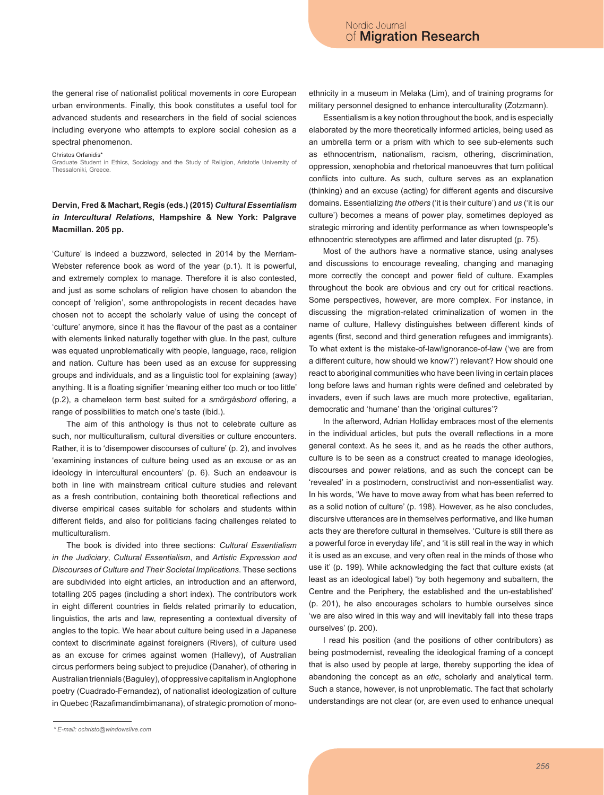the general rise of nationalist political movements in core European urban environments. Finally, this book constitutes a useful tool for advanced students and researchers in the field of social sciences including everyone who attempts to explore social cohesion as a spectral phenomenon.

Christos Orfanidis<sup>\*</sup>

Graduate Student in Ethics, Sociology and the Study of Religion, Aristotle University of Thessaloniki, Greece

#### **Dervin, Fred & Machart, Regis (eds.) (2015)** *Cultural Essentialism in Intercultural Relations***, Hampshire & New York: Palgrave Macmillan. 205 pp.**

'Culture' is indeed a buzzword, selected in 2014 by the Merriam-Webster reference book as word of the year (p.1). It is powerful, and extremely complex to manage. Therefore it is also contested, and just as some scholars of religion have chosen to abandon the concept of 'religion', some anthropologists in recent decades have chosen not to accept the scholarly value of using the concept of 'culture' anymore, since it has the flavour of the past as a container with elements linked naturally together with glue. In the past, culture was equated unproblematically with people, language, race, religion and nation. Culture has been used as an excuse for suppressing groups and individuals, and as a linguistic tool for explaining (away) anything. It is a floating signifier 'meaning either too much or too little' (p.2), a chameleon term best suited for a *smörgåsbord* offering, a range of possibilities to match one's taste (ibid.).

The aim of this anthology is thus not to celebrate culture as such, nor multiculturalism, cultural diversities or culture encounters. Rather, it is to 'disempower discourses of culture' (p. 2), and involves 'examining instances of culture being used as an excuse or as an ideology in intercultural encounters' (p. 6). Such an endeavour is both in line with mainstream critical culture studies and relevant as a fresh contribution, containing both theoretical reflections and diverse empirical cases suitable for scholars and students within different fields, and also for politicians facing challenges related to multiculturalism.

The book is divided into three sections: *Cultural Essentialism in the Judiciary*, *Cultural Essentialism*, and *Artistic Expression and Discourses of Culture and Their Societal Implications*. These sections are subdivided into eight articles, an introduction and an afterword, totalling 205 pages (including a short index). The contributors work in eight different countries in fields related primarily to education, linguistics, the arts and law, representing a contextual diversity of angles to the topic. We hear about culture being used in a Japanese context to discriminate against foreigners (Rivers), of culture used as an excuse for crimes against women (Hallevy), of Australian circus performers being subject to prejudice (Danaher), of othering in Australian triennials (Baguley), of oppressive capitalism in Anglophone poetry (Cuadrado-Fernandez), of nationalist ideologization of culture in Quebec (Razafimandimbimanana), of strategic promotion of monoethnicity in a museum in Melaka (Lim), and of training programs for military personnel designed to enhance interculturality (Zotzmann).

Essentialism is a key notion throughout the book, and is especially elaborated by the more theoretically informed articles, being used as an umbrella term or a prism with which to see sub-elements such as ethnocentrism, nationalism, racism, othering, discrimination, oppression, xenophobia and rhetorical manoeuvres that turn political conflicts into culture. As such, culture serves as an explanation (thinking) and an excuse (acting) for different agents and discursive domains. Essentializing *the others* ('it is their culture') and *us* ('it is our culture') becomes a means of power play, sometimes deployed as strategic mirroring and identity performance as when townspeople's ethnocentric stereotypes are affirmed and later disrupted (p. 75).

Most of the authors have a normative stance, using analyses and discussions to encourage revealing, changing and managing more correctly the concept and power field of culture. Examples throughout the book are obvious and cry out for critical reactions. Some perspectives, however, are more complex. For instance, in discussing the migration-related criminalization of women in the name of culture, Hallevy distinguishes between different kinds of agents (first, second and third generation refugees and immigrants). To what extent is the mistake-of-law/ignorance-of-law ('we are from a different culture, how should we know?') relevant? How should one react to aboriginal communities who have been living in certain places long before laws and human rights were defined and celebrated by invaders, even if such laws are much more protective, egalitarian, democratic and 'humane' than the 'original cultures'?

In the afterword, Adrian Holliday embraces most of the elements in the individual articles, but puts the overall reflections in a more general context. As he sees it, and as he reads the other authors, culture is to be seen as a construct created to manage ideologies, discourses and power relations, and as such the concept can be 'revealed' in a postmodern, constructivist and non-essentialist way. In his words, 'We have to move away from what has been referred to as a solid notion of culture' (p. 198). However, as he also concludes, discursive utterances are in themselves performative, and like human acts they are therefore cultural in themselves. 'Culture is still there as a powerful force in everyday life', and 'it is still real in the way in which it is used as an excuse, and very often real in the minds of those who use it' (p. 199). While acknowledging the fact that culture exists (at least as an ideological label) 'by both hegemony and subaltern, the Centre and the Periphery, the established and the un-established' (p. 201), he also encourages scholars to humble ourselves since 'we are also wired in this way and will inevitably fall into these traps ourselves' (p. 200).

I read his position (and the positions of other contributors) as being postmodernist, revealing the ideological framing of a concept that is also used by people at large, thereby supporting the idea of abandoning the concept as an *etic*, scholarly and analytical term. Such a stance, however, is not unproblematic. The fact that scholarly understandings are not clear (or, are even used to enhance unequal

*<sup>\*</sup> E-mail: ochristo@windowslive.com*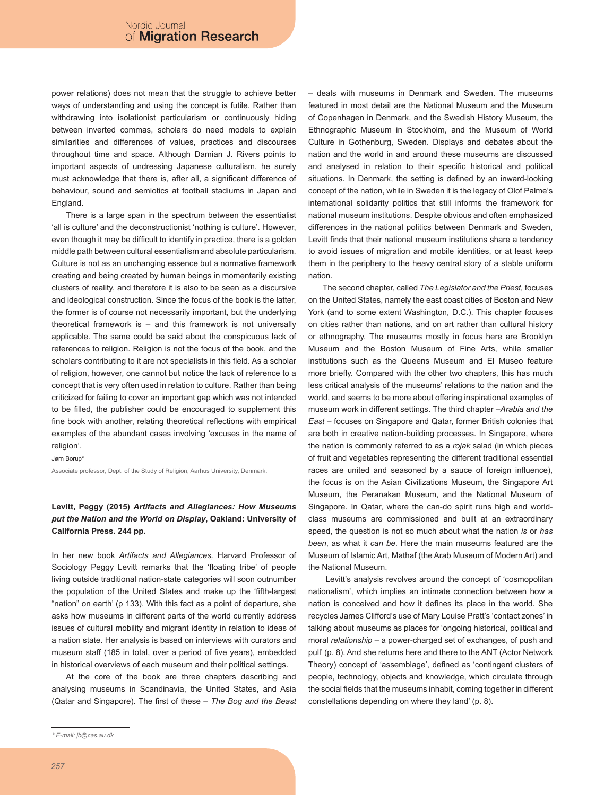power relations) does not mean that the struggle to achieve better ways of understanding and using the concept is futile. Rather than withdrawing into isolationist particularism or continuously hiding between inverted commas, scholars do need models to explain similarities and differences of values, practices and discourses throughout time and space. Although Damian J. Rivers points to important aspects of undressing Japanese culturalism, he surely must acknowledge that there is, after all, a significant difference of behaviour, sound and semiotics at football stadiums in Japan and England.

There is a large span in the spectrum between the essentialist 'all is culture' and the deconstructionist 'nothing is culture'. However, even though it may be difficult to identify in practice, there is a golden middle path between cultural essentialism and absolute particularism. Culture is not as an unchanging essence but a normative framework creating and being created by human beings in momentarily existing clusters of reality, and therefore it is also to be seen as a discursive and ideological construction. Since the focus of the book is the latter, the former is of course not necessarily important, but the underlying theoretical framework is – and this framework is not universally applicable. The same could be said about the conspicuous lack of references to religion. Religion is not the focus of the book, and the scholars contributing to it are not specialists in this field. As a scholar of religion, however, one cannot but notice the lack of reference to a concept that is very often used in relation to culture. Rather than being criticized for failing to cover an important gap which was not intended to be filled, the publisher could be encouraged to supplement this fine book with another, relating theoretical reflections with empirical examples of the abundant cases involving 'excuses in the name of religion'.

Jørn Borup\*

Associate professor, Dept. of the Study of Religion, Aarhus University, Denmark.

# **Levitt, Peggy (2015)** *Artifacts and Allegiances: How Museums put the Nation and the World on Display***, Oakland: University of California Press. 244 pp.**

In her new book *Artifacts and Allegiances,* Harvard Professor of Sociology Peggy Levitt remarks that the 'floating tribe' of people living outside traditional nation-state categories will soon outnumber the population of the United States and make up the 'fifth-largest "nation" on earth' (p 133). With this fact as a point of departure, she asks how museums in different parts of the world currently address issues of cultural mobility and migrant identity in relation to ideas of a nation state. Her analysis is based on interviews with curators and museum staff (185 in total, over a period of five years), embedded in historical overviews of each museum and their political settings.

At the core of the book are three chapters describing and analysing museums in Scandinavia, the United States, and Asia (Qatar and Singapore). The first of these – *The Bog and the Beast*  *–* deals with museums in Denmark and Sweden. The museums featured in most detail are the National Museum and the Museum of Copenhagen in Denmark, and the Swedish History Museum, the Ethnographic Museum in Stockholm, and the Museum of World Culture in Gothenburg, Sweden. Displays and debates about the nation and the world in and around these museums are discussed and analysed in relation to their specific historical and political situations. In Denmark, the setting is defined by an inward-looking concept of the nation, while in Sweden it is the legacy of Olof Palme's international solidarity politics that still informs the framework for national museum institutions. Despite obvious and often emphasized differences in the national politics between Denmark and Sweden, Levitt finds that their national museum institutions share a tendency to avoid issues of migration and mobile identities, or at least keep them in the periphery to the heavy central story of a stable uniform nation.

The second chapter, called *The Legislator and the Priest,* focuses on the United States, namely the east coast cities of Boston and New York (and to some extent Washington, D.C.). This chapter focuses on cities rather than nations, and on art rather than cultural history or ethnography. The museums mostly in focus here are Brooklyn Museum and the Boston Museum of Fine Arts, while smaller institutions such as the Queens Museum and El Museo feature more briefly. Compared with the other two chapters, this has much less critical analysis of the museums' relations to the nation and the world, and seems to be more about offering inspirational examples of museum work in different settings. The third chapter –*Arabia and the East –* focuses on Singapore and Qatar, former British colonies that are both in creative nation-building processes. In Singapore, where the nation is commonly referred to as a *rojak* salad (in which pieces of fruit and vegetables representing the different traditional essential races are united and seasoned by a sauce of foreign influence), the focus is on the Asian Civilizations Museum, the Singapore Art Museum, the Peranakan Museum, and the National Museum of Singapore. In Qatar, where the can-do spirit runs high and worldclass museums are commissioned and built at an extraordinary speed, the question is not so much about what the nation *is* or *has been*, as what it *can be*. Here the main museums featured are the Museum of Islamic Art, Mathaf (the Arab Museum of Modern Art) and the National Museum.

Levitt's analysis revolves around the concept of 'cosmopolitan nationalism', which implies an intimate connection between how a nation is conceived and how it defines its place in the world. She recycles James Clifford's use of Mary Louise Pratt's 'contact zones' in talking about museums as places for 'ongoing historical, political and moral *relationship –* a power-charged set of exchanges, of push and pull' (p. 8). And she returns here and there to the ANT (Actor Network Theory) concept of 'assemblage', defined as 'contingent clusters of people, technology, objects and knowledge, which circulate through the social fields that the museums inhabit, coming together in different constellations depending on where they land' (p. 8).

*<sup>\*</sup> E-mail: jb@cas.au.dk*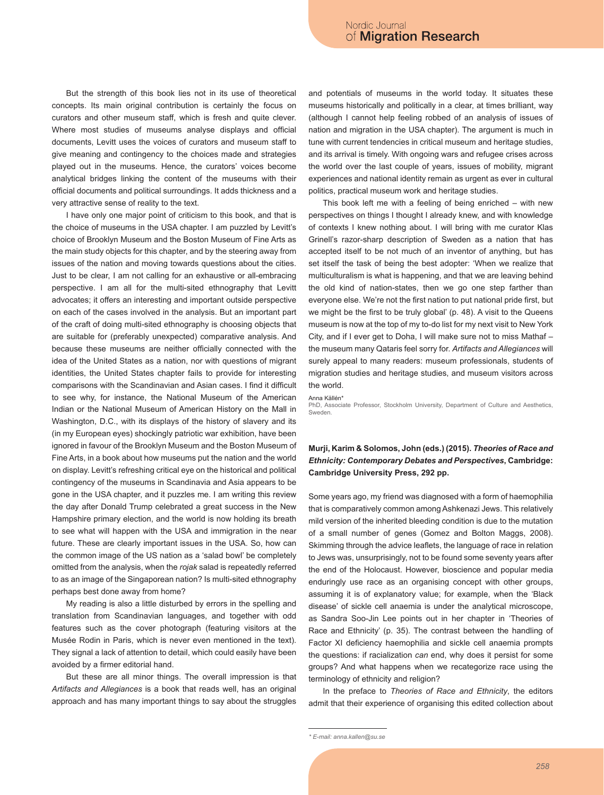But the strength of this book lies not in its use of theoretical concepts. Its main original contribution is certainly the focus on curators and other museum staff, which is fresh and quite clever. Where most studies of museums analyse displays and official documents, Levitt uses the voices of curators and museum staff to give meaning and contingency to the choices made and strategies played out in the museums. Hence, the curators' voices become analytical bridges linking the content of the museums with their official documents and political surroundings. It adds thickness and a very attractive sense of reality to the text.

I have only one major point of criticism to this book, and that is the choice of museums in the USA chapter. I am puzzled by Levitt's choice of Brooklyn Museum and the Boston Museum of Fine Arts as the main study objects for this chapter, and by the steering away from issues of the nation and moving towards questions about the cities. Just to be clear, I am not calling for an exhaustive or all-embracing perspective. I am all for the multi-sited ethnography that Levitt advocates; it offers an interesting and important outside perspective on each of the cases involved in the analysis. But an important part of the craft of doing multi-sited ethnography is choosing objects that are suitable for (preferably unexpected) comparative analysis. And because these museums are neither officially connected with the idea of the United States as a nation, nor with questions of migrant identities, the United States chapter fails to provide for interesting comparisons with the Scandinavian and Asian cases. I find it difficult to see why, for instance, the National Museum of the American Indian or the National Museum of American History on the Mall in Washington, D.C., with its displays of the history of slavery and its (in my European eyes) shockingly patriotic war exhibition, have been ignored in favour of the Brooklyn Museum and the Boston Museum of Fine Arts, in a book about how museums put the nation and the world on display. Levitt's refreshing critical eye on the historical and political contingency of the museums in Scandinavia and Asia appears to be gone in the USA chapter, and it puzzles me. I am writing this review the day after Donald Trump celebrated a great success in the New Hampshire primary election, and the world is now holding its breath to see what will happen with the USA and immigration in the near future. These are clearly important issues in the USA. So, how can the common image of the US nation as a 'salad bowl' be completely omitted from the analysis, when the *rojak* salad is repeatedly referred to as an image of the Singaporean nation? Is multi-sited ethnography perhaps best done away from home?

My reading is also a little disturbed by errors in the spelling and translation from Scandinavian languages, and together with odd features such as the cover photograph (featuring visitors at the Musée Rodin in Paris, which is never even mentioned in the text). They signal a lack of attention to detail, which could easily have been avoided by a firmer editorial hand.

But these are all minor things. The overall impression is that *Artifacts and Allegiances* is a book that reads well, has an original approach and has many important things to say about the struggles and potentials of museums in the world today. It situates these museums historically and politically in a clear, at times brilliant, way (although I cannot help feeling robbed of an analysis of issues of nation and migration in the USA chapter). The argument is much in tune with current tendencies in critical museum and heritage studies, and its arrival is timely. With ongoing wars and refugee crises across the world over the last couple of years, issues of mobility, migrant experiences and national identity remain as urgent as ever in cultural politics, practical museum work and heritage studies.

This book left me with a feeling of being enriched  $-$  with new perspectives on things I thought I already knew, and with knowledge of contexts I knew nothing about. I will bring with me curator Klas Grinell's razor-sharp description of Sweden as a nation that has accepted itself to be not much of an inventor of anything, but has set itself the task of being the best adopter: 'When we realize that multiculturalism is what is happening, and that we are leaving behind the old kind of nation-states, then we go one step farther than everyone else. We're not the first nation to put national pride first, but we might be the first to be truly global' (p. 48). A visit to the Queens museum is now at the top of my to-do list for my next visit to New York City, and if I ever get to Doha, I will make sure not to miss Mathaf – the museum many Qataris feel sorry for. *Artifacts and Allegiances* will surely appeal to many readers: museum professionals, students of migration studies and heritage studies, and museum visitors across the world.

Anna Källén\*

PhD, Associate Professor, Stockholm University, Department of Culture and Aesthetics, Sweden.

# **Murji, Karim & Solomos, John (eds.) (2015).** *Theories of Race and Ethnicity: Contemporary Debates and Perspectives***, Cambridge: Cambridge University Press, 292 pp.**

Some years ago, my friend was diagnosed with a form of haemophilia that is comparatively common among Ashkenazi Jews. This relatively mild version of the inherited bleeding condition is due to the mutation of a small number of genes (Gomez and Bolton Maggs, 2008). Skimming through the advice leaflets, the language of race in relation to Jews was, unsurprisingly, not to be found some seventy years after the end of the Holocaust. However, bioscience and popular media enduringly use race as an organising concept with other groups, assuming it is of explanatory value; for example, when the 'Black disease' of sickle cell anaemia is under the analytical microscope, as Sandra Soo-Jin Lee points out in her chapter in 'Theories of Race and Ethnicity' (p. 35). The contrast between the handling of Factor XI deficiency haemophilia and sickle cell anaemia prompts the questions: if racialization *can* end, why does it persist for some groups? And what happens when we recategorize race using the terminology of ethnicity and religion?

In the preface to *Theories of Race and Ethnicity*, the editors admit that their experience of organising this edited collection about

*<sup>\*</sup> E-mail: anna.kallen@su.se*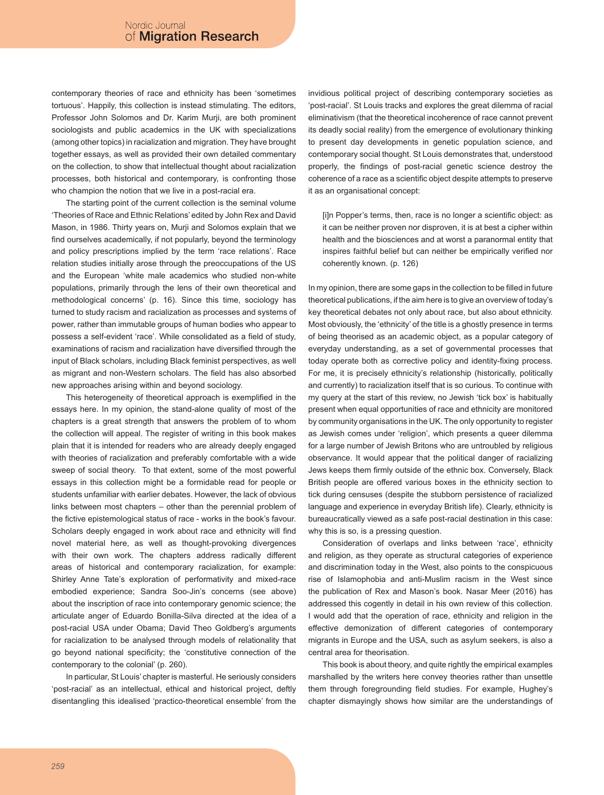contemporary theories of race and ethnicity has been 'sometimes tortuous'. Happily, this collection is instead stimulating. The editors, Professor John Solomos and Dr. Karim Murji, are both prominent sociologists and public academics in the UK with specializations (among other topics) in racialization and migration. They have brought together essays, as well as provided their own detailed commentary on the collection, to show that intellectual thought about racialization processes, both historical and contemporary, is confronting those who champion the notion that we live in a post-racial era.

The starting point of the current collection is the seminal volume 'Theories of Race and Ethnic Relations' edited by John Rex and David Mason, in 1986. Thirty years on, Murji and Solomos explain that we find ourselves academically, if not popularly, beyond the terminology and policy prescriptions implied by the term 'race relations'. Race relation studies initially arose through the preoccupations of the US and the European 'white male academics who studied non-white populations, primarily through the lens of their own theoretical and methodological concerns' (p. 16). Since this time, sociology has turned to study racism and racialization as processes and systems of power, rather than immutable groups of human bodies who appear to possess a self-evident 'race'. While consolidated as a field of study, examinations of racism and racialization have diversified through the input of Black scholars, including Black feminist perspectives, as well as migrant and non-Western scholars. The field has also absorbed new approaches arising within and beyond sociology.

This heterogeneity of theoretical approach is exemplified in the essays here. In my opinion, the stand-alone quality of most of the chapters is a great strength that answers the problem of to whom the collection will appeal. The register of writing in this book makes plain that it is intended for readers who are already deeply engaged with theories of racialization and preferably comfortable with a wide sweep of social theory. To that extent, some of the most powerful essays in this collection might be a formidable read for people or students unfamiliar with earlier debates. However, the lack of obvious links between most chapters – other than the perennial problem of the fictive epistemological status of race - works in the book's favour. Scholars deeply engaged in work about race and ethnicity will find novel material here, as well as thought-provoking divergences with their own work. The chapters address radically different areas of historical and contemporary racialization, for example: Shirley Anne Tate's exploration of performativity and mixed-race embodied experience; Sandra Soo-Jin's concerns (see above) about the inscription of race into contemporary genomic science; the articulate anger of Eduardo Bonilla-Silva directed at the idea of a post-racial USA under Obama; David Theo Goldberg's arguments for racialization to be analysed through models of relationality that go beyond national specificity; the 'constitutive connection of the contemporary to the colonial' (p. 260).

In particular, St Louis' chapter is masterful. He seriously considers 'post-racial' as an intellectual, ethical and historical project, deftly disentangling this idealised 'practico-theoretical ensemble' from the invidious political project of describing contemporary societies as 'post-racial'. St Louis tracks and explores the great dilemma of racial eliminativism (that the theoretical incoherence of race cannot prevent its deadly social reality) from the emergence of evolutionary thinking to present day developments in genetic population science, and contemporary social thought. St Louis demonstrates that, understood properly, the findings of post-racial genetic science destroy the coherence of a race as a scientific object despite attempts to preserve it as an organisational concept:

[i]n Popper's terms, then, race is no longer a scientific object: as it can be neither proven nor disproven, it is at best a cipher within health and the biosciences and at worst a paranormal entity that inspires faithful belief but can neither be empirically verified nor coherently known. (p. 126)

In my opinion, there are some gaps in the collection to be filled in future theoretical publications, if the aim here is to give an overview of today's key theoretical debates not only about race, but also about ethnicity. Most obviously, the 'ethnicity' of the title is a ghostly presence in terms of being theorised as an academic object, as a popular category of everyday understanding, as a set of governmental processes that today operate both as corrective policy and identity-fixing process. For me, it is precisely ethnicity's relationship (historically, politically and currently) to racialization itself that is so curious. To continue with my query at the start of this review, no Jewish 'tick box' is habitually present when equal opportunities of race and ethnicity are monitored by community organisations in the UK. The only opportunity to register as Jewish comes under 'religion', which presents a queer dilemma for a large number of Jewish Britons who are untroubled by religious observance. It would appear that the political danger of racializing Jews keeps them firmly outside of the ethnic box. Conversely, Black British people are offered various boxes in the ethnicity section to tick during censuses (despite the stubborn persistence of racialized language and experience in everyday British life). Clearly, ethnicity is bureaucratically viewed as a safe post-racial destination in this case: why this is so, is a pressing question.

Consideration of overlaps and links between 'race', ethnicity and religion, as they operate as structural categories of experience and discrimination today in the West, also points to the conspicuous rise of Islamophobia and anti-Muslim racism in the West since the publication of Rex and Mason's book. Nasar Meer (2016) has addressed this cogently in detail in his own review of this collection. I would add that the operation of race, ethnicity and religion in the effective demonization of different categories of contemporary migrants in Europe and the USA, such as asylum seekers, is also a central area for theorisation.

This book is about theory, and quite rightly the empirical examples marshalled by the writers here convey theories rather than unsettle them through foregrounding field studies. For example, Hughey's chapter dismayingly shows how similar are the understandings of